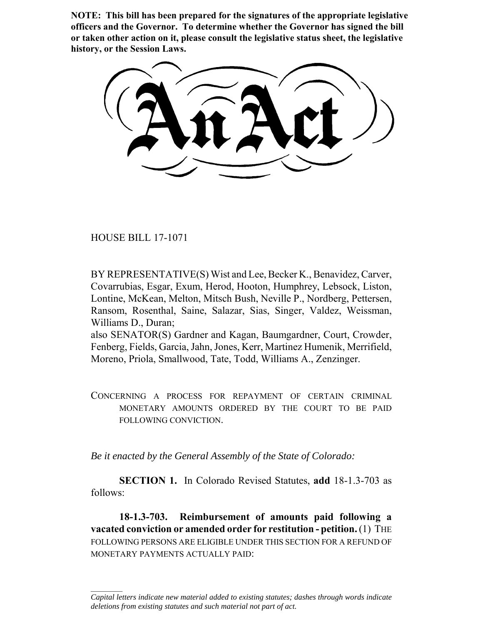**NOTE: This bill has been prepared for the signatures of the appropriate legislative officers and the Governor. To determine whether the Governor has signed the bill or taken other action on it, please consult the legislative status sheet, the legislative history, or the Session Laws.**

HOUSE BILL 17-1071

 $\frac{1}{2}$ 

BY REPRESENTATIVE(S) Wist and Lee, Becker K., Benavidez, Carver, Covarrubias, Esgar, Exum, Herod, Hooton, Humphrey, Lebsock, Liston, Lontine, McKean, Melton, Mitsch Bush, Neville P., Nordberg, Pettersen, Ransom, Rosenthal, Saine, Salazar, Sias, Singer, Valdez, Weissman, Williams D., Duran;

also SENATOR(S) Gardner and Kagan, Baumgardner, Court, Crowder, Fenberg, Fields, Garcia, Jahn, Jones, Kerr, Martinez Humenik, Merrifield, Moreno, Priola, Smallwood, Tate, Todd, Williams A., Zenzinger.

CONCERNING A PROCESS FOR REPAYMENT OF CERTAIN CRIMINAL MONETARY AMOUNTS ORDERED BY THE COURT TO BE PAID FOLLOWING CONVICTION.

*Be it enacted by the General Assembly of the State of Colorado:*

**SECTION 1.** In Colorado Revised Statutes, **add** 18-1.3-703 as follows:

**18-1.3-703. Reimbursement of amounts paid following a vacated conviction or amended order for restitution - petition.** (1) THE FOLLOWING PERSONS ARE ELIGIBLE UNDER THIS SECTION FOR A REFUND OF MONETARY PAYMENTS ACTUALLY PAID:

*Capital letters indicate new material added to existing statutes; dashes through words indicate deletions from existing statutes and such material not part of act.*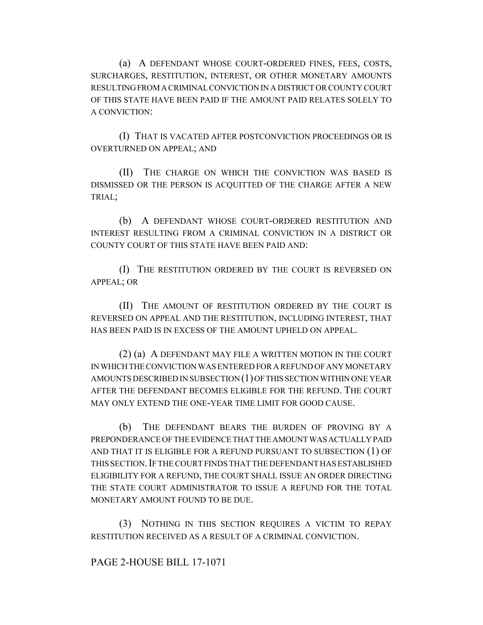(a) A DEFENDANT WHOSE COURT-ORDERED FINES, FEES, COSTS, SURCHARGES, RESTITUTION, INTEREST, OR OTHER MONETARY AMOUNTS RESULTING FROM A CRIMINAL CONVICTION IN A DISTRICT OR COUNTY COURT OF THIS STATE HAVE BEEN PAID IF THE AMOUNT PAID RELATES SOLELY TO A CONVICTION:

(I) THAT IS VACATED AFTER POSTCONVICTION PROCEEDINGS OR IS OVERTURNED ON APPEAL; AND

(II) THE CHARGE ON WHICH THE CONVICTION WAS BASED IS DISMISSED OR THE PERSON IS ACQUITTED OF THE CHARGE AFTER A NEW TRIAL;

(b) A DEFENDANT WHOSE COURT-ORDERED RESTITUTION AND INTEREST RESULTING FROM A CRIMINAL CONVICTION IN A DISTRICT OR COUNTY COURT OF THIS STATE HAVE BEEN PAID AND:

(I) THE RESTITUTION ORDERED BY THE COURT IS REVERSED ON APPEAL; OR

(II) THE AMOUNT OF RESTITUTION ORDERED BY THE COURT IS REVERSED ON APPEAL AND THE RESTITUTION, INCLUDING INTEREST, THAT HAS BEEN PAID IS IN EXCESS OF THE AMOUNT UPHELD ON APPEAL.

(2) (a) A DEFENDANT MAY FILE A WRITTEN MOTION IN THE COURT IN WHICH THE CONVICTION WAS ENTERED FOR A REFUND OF ANY MONETARY AMOUNTS DESCRIBED IN SUBSECTION (1) OF THIS SECTION WITHIN ONE YEAR AFTER THE DEFENDANT BECOMES ELIGIBLE FOR THE REFUND. THE COURT MAY ONLY EXTEND THE ONE-YEAR TIME LIMIT FOR GOOD CAUSE.

(b) THE DEFENDANT BEARS THE BURDEN OF PROVING BY A PREPONDERANCE OF THE EVIDENCE THAT THE AMOUNT WAS ACTUALLY PAID AND THAT IT IS ELIGIBLE FOR A REFUND PURSUANT TO SUBSECTION (1) OF THIS SECTION.IF THE COURT FINDS THAT THE DEFENDANT HAS ESTABLISHED ELIGIBILITY FOR A REFUND, THE COURT SHALL ISSUE AN ORDER DIRECTING THE STATE COURT ADMINISTRATOR TO ISSUE A REFUND FOR THE TOTAL MONETARY AMOUNT FOUND TO BE DUE.

(3) NOTHING IN THIS SECTION REQUIRES A VICTIM TO REPAY RESTITUTION RECEIVED AS A RESULT OF A CRIMINAL CONVICTION.

## PAGE 2-HOUSE BILL 17-1071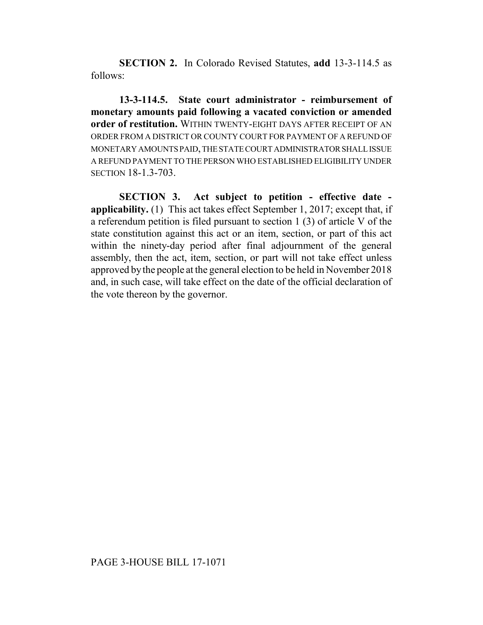**SECTION 2.** In Colorado Revised Statutes, **add** 13-3-114.5 as follows:

**13-3-114.5. State court administrator - reimbursement of monetary amounts paid following a vacated conviction or amended order of restitution.** WITHIN TWENTY-EIGHT DAYS AFTER RECEIPT OF AN ORDER FROM A DISTRICT OR COUNTY COURT FOR PAYMENT OF A REFUND OF MONETARY AMOUNTS PAID, THE STATE COURT ADMINISTRATOR SHALL ISSUE A REFUND PAYMENT TO THE PERSON WHO ESTABLISHED ELIGIBILITY UNDER **SECTION 18-1.3-703.** 

**SECTION 3. Act subject to petition - effective date applicability.** (1) This act takes effect September 1, 2017; except that, if a referendum petition is filed pursuant to section 1 (3) of article V of the state constitution against this act or an item, section, or part of this act within the ninety-day period after final adjournment of the general assembly, then the act, item, section, or part will not take effect unless approved by the people at the general election to be held in November 2018 and, in such case, will take effect on the date of the official declaration of the vote thereon by the governor.